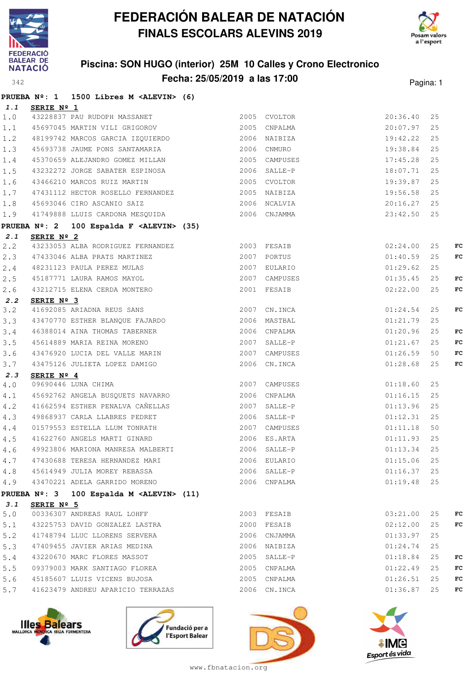



### **Piscina: SON HUGO (interior) 25M 10 Calles y Crono Electronico Fecha: 25/05/2019 a las 17:00** Pagina: 1

|             |            | PRUEBA Nº: 1 1500 Libres M <alevin> (6)</alevin>                                                                   |               |               |               |    |    |
|-------------|------------|--------------------------------------------------------------------------------------------------------------------|---------------|---------------|---------------|----|----|
| 1.1         | SERIE Nº 1 |                                                                                                                    |               |               |               |    |    |
| $1.0$       |            | 43228837 PAU RUDOPH MASSANET 2005 CVOLTOR                                                                          |               |               | 20:36.40      | 25 |    |
| 1.1         |            | 45697045 MARTIN VILI GRIGOROV 2005 CNPALMA                                                                         |               |               | 20:07.97      | 25 |    |
| 1.2         |            | 48199742 MARCOS GARCIA IZQUIERDO 6 2006 NAIBIZA                                                                    |               |               | 19:42.22      | 25 |    |
| 1.3         |            | 19199712 122223<br>45693738 JAUME PONS SANTAMARIA 192006 CNMURO<br>45370659 ALEJANDRO GOMEZ MILLAN 192005 CAMPUSES |               |               | 19:38.84 25   |    |    |
| 1.4         |            |                                                                                                                    |               |               | 17:45.28      | 25 |    |
| 1.5         |            | 43232272 JORGE SABATER ESPINOSA 2006 SALLE-P                                                                       |               |               | 18:07.71      | 25 |    |
| 1.6         |            | 43466210 MARCOS RUIZ MARTIN 2005 CVOLTOR                                                                           |               |               | 19:39.87      | 25 |    |
| 1.7         |            |                                                                                                                    |               |               | 19:56.58 25   |    |    |
| $1.8$       |            |                                                                                                                    |               |               | 20:16.27 25   |    |    |
| 1.9         |            | 41749888 LLUIS CARDONA MESQUIDA 62006 CNJAMMA                                                                      |               |               | 23:42.50 25   |    |    |
|             |            | PRUEBA Nº: 2 100 Espalda F <alevin> (35)</alevin>                                                                  |               |               |               |    |    |
| 2.1         | SERIE Nº 2 |                                                                                                                    |               |               |               |    |    |
| 2.2         |            | 43233053 ALBA RODRIGUEZ FERNANDEZ 2003 FESAIB                                                                      |               |               | 02:24.00      | 25 | FC |
| 2.3         |            | 47433046 ALBA PRATS MARTINEZ 2007 PORTUS                                                                           |               |               | 01:40.59      | 25 | FC |
| 2.4         |            |                                                                                                                    |               | 2007 EULARIO  | 01:29.62      | 25 |    |
| 2.5         |            |                                                                                                                    |               | 2007 CAMPUSES | 01:35.45      | 25 | FC |
| 2.6         |            | 48231123 PAULA PEREZ MULAS<br>45187771 LAURA RAMOS MAYOL<br>43212715 ELENA CERDA MONTERO                           |               | 2001 FESAIB   | 02:22.00      | 25 | FC |
| 2.2         | SERIE Nº 3 |                                                                                                                    |               |               |               |    |    |
| 3.2         |            | 41692085 ARIADNA REUS SANS 2007 CN.INCA                                                                            |               |               | 01:24.54      | 25 | FC |
| 3.3         |            | 43470770 ESTHER BLANQUE FAJARDO 6 2006 MASTBAL                                                                     |               |               | 01:21.79      | 25 |    |
| 3.4         |            | 46388014 AINA THOMAS TABERNER<br>45614889 MARIA REINA MORENO<br>2007 SALLE-P                                       |               |               | 01:20.96      | 25 | FC |
| 3.5         |            |                                                                                                                    |               |               | 01:21.67      | 25 | FC |
| 3.6         |            | 43476920 LUCIA DEL VALLE MARIN 2007 CAMPUSES                                                                       |               |               | 01:26.59      | 50 | FC |
| 3.7         |            | 43475126 JULIETA LOPEZ DAMIGO 2006 CN.INCA                                                                         |               |               | 01:28.68      | 25 | FC |
| 2.3         | SERIE Nº 4 |                                                                                                                    |               |               |               |    |    |
| $4 \cdot 0$ |            | 09690446 LUNA CHIMA                                                                                                | 2007 CAMPUSES |               | 01:18.60      | 25 |    |
| 4.1         |            | 45692762 ANGELA BUSQUETS NAVARRO 2006 CNPALMA                                                                      |               |               | 01:16.15      | 25 |    |
| 4.2         |            | 41662594 ESTHER PENALVA CAÑELLAS                                                                                   |               | 2007 SALLE-P  | 01:13.96      | 25 |    |
| 4.3         |            | 49868937 CARLA LLABRES PEDRET 2006 SALLE-P                                                                         |               |               | 01:12.31      | 25 |    |
| 4.4         |            |                                                                                                                    |               | 2007 CAMPUSES | 01:11.18      | 50 |    |
| 4.5         |            | 01579553 ESTELLA LLUM TONRATH 2007 CAMPUSES<br>41622760 ANGELS MARTI GINARD 2006 ES.ARTA                           |               |               | 01:11.93      | 25 |    |
| 4.6         |            | 49923806 MARIONA MANRESA MALBERTI 2006 SALLE-P                                                                     |               |               | $01:13.34$ 25 |    |    |
| 4.7         |            | 47430688 TERESA HERNANDEZ MARI (2006 EULARIO                                                                       |               |               | 01:15.06      | 25 |    |
|             |            | 4.8 45614949 JULIA MOREY REBASSA                                                                                   |               | 2006 SALLE-P  | $01:16.37$ 25 |    |    |
|             |            |                                                                                                                    |               |               | $01:19.48$ 25 |    |    |
|             |            | PRUEBA Nº: 3 100 Espalda M <alevin> (11)</alevin>                                                                  |               |               |               |    |    |
| 3.1         | SERIE Nº 5 |                                                                                                                    |               |               |               |    |    |
| $5.0$       |            | 00336307 ANDREAS RAUL LOHFF                                                                                        |               | 2003 FESAIB   | 03:21.00      | 25 | FC |
| 5.1         |            | 43225753 DAVID GONZALEZ LASTRA                                                                                     |               | 2000 FESAIB   | 02:12.00      | 25 | FC |
| 5.2         |            | 41748794 LLUC LLORENS SERVERA                                                                                      |               | 2006 CNJAMMA  | 01:33.97      | 25 |    |
| 5.3         |            |                                                                                                                    |               |               | 01:24.74      | 25 |    |
| 5.4         |            | 43220670 MARC FLORES MASSOT                                                                                        |               | 2005 SALLE-P  | 01:18.84      | 25 | FC |
| 5.5         |            | 09379003 MARK SANTIAGO FLOREA 2005 CNPALMA                                                                         |               |               | 01:22.49      | 25 | FC |
| 5.6         |            | 45185607 LLUIS VICENS BUJOSA 2005 CNPALMA                                                                          |               |               | 01:26.51      | 25 | FC |
| 5.7         |            | 41623479 ANDREU APARICIO TERRAZAS 2006 CN.INCA                                                                     |               |               | $01:36.87$ 25 |    | FC |
|             |            |                                                                                                                    |               |               |               |    |    |







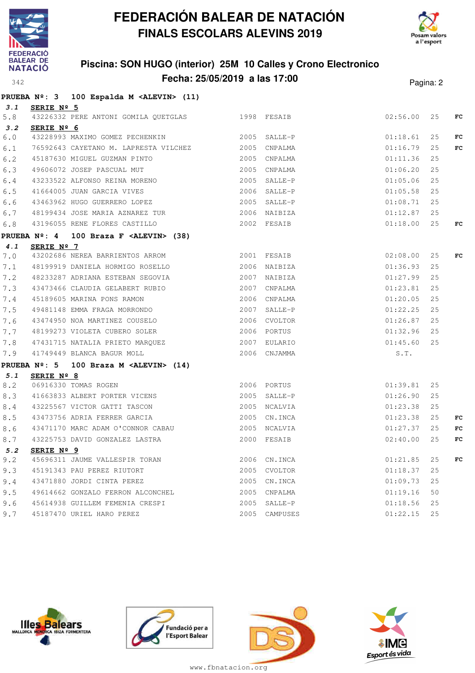



### **Piscina: SON HUGO (interior) 25M 10 Calles y Crono Electronico Fecha: 25/05/2019 a las 17:00** Pagina: 2

|         |                        | PRUEBA Nº: 3 100 Espalda M <alevin> (11)</alevin>                                      |              |               |             |    |     |
|---------|------------------------|----------------------------------------------------------------------------------------|--------------|---------------|-------------|----|-----|
| 3.1     | SERIE Nº 5             |                                                                                        |              |               |             |    |     |
| 5.8     |                        | 43226332 PERE ANTONI GOMILA QUETGLAS 1998 FESAIB                                       |              |               | 02:56.00 25 |    | FC  |
| 3.2     | SERIE Nº 6             |                                                                                        |              |               |             |    |     |
| 6.0     |                        | 43228993 MAXIMO GOMEZ PECHENKIN 2005 SALLE-P                                           |              |               | 01:18.61    | 25 | FC  |
| 6.1     |                        | 76592643 CAYETANO M. LAPRESTA VILCHEZ 2005 CNPALMA                                     |              |               | 01:16.79    | 25 | FC  |
| 6.2     |                        |                                                                                        |              |               | 01:11.36    | 25 |     |
| 6.3     |                        |                                                                                        |              |               | 01:06.20    | 25 |     |
| 6.4     |                        |                                                                                        |              |               | 01:05.06    | 25 |     |
| 6.5     |                        | 41664005 JUAN GARCIA VIVES 2006 SALLE-P                                                |              |               | 01:05.58    | 25 |     |
| 6.6     |                        | 43463962 HUGO GUERRERO LOPEZ                                                           |              | 2005 SALLE-P  | 01:08.71    | 25 |     |
| 6.7     |                        |                                                                                        |              |               | 01:12.87    | 25 |     |
| 6.8     |                        | 43196055 RENE FLORES CASTILLO 2002 FESAIB                                              |              |               | 01:18.00    | 25 | FC  |
|         | PRUEBA $N^{\circ}$ : 4 | 100 Braza F < $ALEVIN>$ (38)                                                           |              |               |             |    |     |
| 4.1     | SERIE Nº 7             |                                                                                        |              |               |             |    |     |
| 7.0     |                        | 43202686 NEREA BARRIENTOS ARROM 2001 FESAIB                                            |              |               | 02:08.00    | 25 | FC  |
| 7.1     |                        | 48199919 DANIELA HORMIGO ROSELLO                                                       | 2006 NAIBIZA |               | 01:36.93    | 25 |     |
| 7.2     |                        | 48233287 ADRIANA ESTEBAN SEGOVIA 2007 NAIBIZA                                          |              |               | 01:27.99    | 25 |     |
| 7.3     |                        | 43473466 CLAUDIA GELABERT RUBIO                                                        |              | 2007 CNPALMA  | 01:23.81    | 25 |     |
| 7.4     |                        |                                                                                        |              | 2006 CNPALMA  | 01:20.05    | 25 |     |
| 7.5     |                        | 43473400 CENCENT CENTER<br>45189605 MARINA PONS RAMON<br>49481148 EMMA FRAGA MORRONDO  |              | 2007 SALLE-P  | 01:22.25    | 25 |     |
| 7.6     |                        | 43474950 NOA MARTINEZ COUSELO 2006 CVOLTOR                                             |              |               | 01:26.87    | 25 |     |
| 7.7     |                        | 48199273 VIOLETA CUBERO SOLER 2006 PORTUS                                              |              |               | 01:32.96    | 25 |     |
| 7.8     |                        | 47431715 NATALIA PRIETO MARQUEZ (2007 EULARIO 41749449 BLANCA BAGUR MOLL (2006 CNJAMMA |              |               | 01:45.60    | 25 |     |
| 7.9     |                        | 41749449 BLANCA BAGUR MOLL 2006 CNJAMMA                                                |              |               | S.T.        |    |     |
|         |                        | PRUEBA Nº: 5 100 Braza M <alevin> (14)</alevin>                                        |              |               |             |    |     |
| 5.1     | SERIE Nº 8             |                                                                                        |              |               |             |    |     |
| 8.2     |                        | 2006 PORTUS<br>06916330 TOMAS ROGEN                                                    |              |               | 01:39.81    | 25 |     |
| 8.3     |                        | 41663833 ALBERT PORTER VICENS 2005 SALLE-P                                             |              |               | 01:26.90    | 25 |     |
| $8.4\,$ |                        | 43225567 VICTOR GATTI TASCON                                                           |              | 2005 NCALVIA  | 01:23.38    | 25 |     |
| 8.5     |                        | 43473756 ADRIA FERRER GARCIA 2005 CN.INCA                                              |              |               | 01:23.38    | 25 | FC. |
| 8.6     |                        | 43471170 MARC ADAM O'CONNOR CABAU 2005 NCALVIA                                         |              |               | 01:27.37    | 25 | FC  |
| 8.7     |                        | 43225753 DAVID GONZALEZ LASTRA                                                         |              | 2000 FESAIB   | 02:40.00    | 25 | FC  |
| 5.2     | SERIE Nº 9             |                                                                                        |              |               |             |    |     |
| 9.2     |                        | 45696311 JAUME VALLESPIR TORAN                                                         |              | 2006 CN.INCA  | 01:21.85    | 25 | FC  |
| 9.3     |                        | 45191343 PAU PEREZ RIUTORT                                                             | 2005         | CVOLTOR       | 01:18.37    | 25 |     |
| 9.4     |                        | 43471880 JORDI CINTA PEREZ                                                             |              | 2005 CN.INCA  | 01:09.73    | 25 |     |
| 9.5     |                        | 49614662 GONZALO FERRON ALCONCHEL                                                      |              | 2005 CNPALMA  | 01:19.16    | 50 |     |
| 9.6     |                        | 45614938 GUILLEM FEMENIA CRESPI                                                        | 2005         | SALLE-P       | 01:18.56    | 25 |     |
| 9.7     |                        | 45187470 URIEL HARO PEREZ                                                              |              | 2005 CAMPUSES | 01:22.15    | 25 |     |







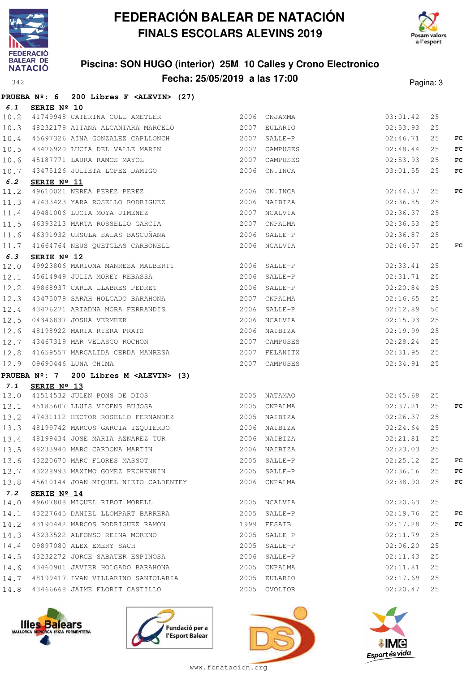



#### **Piscina: SON HUGO (interior) 25M 10 Calles y Crono Electronico Fecha: 25/05/2019 a las 17:00** Pagina: 3

|      |                      | PRUEBA $N^2$ : 6 200 Libres F <alevin> (27)</alevin>                                                                                                                                        |                          |               |    |     |
|------|----------------------|---------------------------------------------------------------------------------------------------------------------------------------------------------------------------------------------|--------------------------|---------------|----|-----|
| 6.1  | SERIE Nº 10          |                                                                                                                                                                                             |                          |               |    |     |
| 10.2 |                      | 41749948 CATERINA COLL AMETLER 2006 CNJAMMA                                                                                                                                                 |                          | 03:01.42      | 25 |     |
| 10.3 |                      |                                                                                                                                                                                             |                          |               | 25 |     |
| 10.4 |                      | 45697326 AINA GONZALEZ CAPLLONCH 2007 SALLE-P 3007 SALLE 2007 SALLE                                                                                                                         |                          |               | 25 | FC  |
| 10.5 |                      | 43476920 LUCIA DEL VALLE MARIN 2007 CAMPUSES 02:48.44<br>45187771 LAURA RAMOS MAYOL 2007 CAMPUSES 02:53.93<br>43475126 JULIETA LOPEZ DAMIGO 2006 CN.INCA 03:01.55                           |                          |               | 25 | FC. |
| 10.6 |                      |                                                                                                                                                                                             |                          |               | 25 | FC. |
| 10.7 |                      |                                                                                                                                                                                             |                          |               | 25 | FC. |
| 6.2  | SERIE $N^{\circ}$ 11 |                                                                                                                                                                                             |                          |               |    |     |
| 11.2 |                      | <b>SERIE Nº II</b><br>49610021 NEREA PEREZ PEREZ<br>47433423 YARA ROSELLO RODRIGUEZ 2006 NAIBIZA<br>49481006 LUCIA MOYA JIMENEZ 2007 NCALVIA<br>46393213 MARTA ROSSELLO GARCIA 2007 CNPALMA | 02:44.37                 |               | 25 | FC  |
| 11.3 |                      |                                                                                                                                                                                             | $02:36.85$<br>$02:36.37$ |               | 25 |     |
| 11.4 |                      |                                                                                                                                                                                             | 2007 NCALVIA             |               | 25 |     |
| 11.5 |                      |                                                                                                                                                                                             | 02:36.53                 |               | 25 |     |
| 11.6 |                      | 46391932 URSULA SALAS BASCUÑANA (2006 SALLE-P                                                                                                                                               |                          | 02:36.87      | 25 |     |
|      |                      | 11.7 41664764 NEUS QUETGLAS CARBONELL 2006 NCALVIA                                                                                                                                          |                          | 02:46.57      | 25 | FC  |
| 6.3  | SERIE $N^{\circ}$ 12 |                                                                                                                                                                                             |                          |               |    |     |
| 12.0 |                      | 49923806 MARIONA MANRESA MALBERTI 2006 SALLE-P 02:33.41                                                                                                                                     |                          |               | 25 |     |
| 12.1 |                      | 45614949 JULIA MOREY REBASSA                                                                                                                                                                | 02:31.71<br>2006 SALLE-P |               | 25 |     |
| 12.2 |                      | 49868937 CARLA LLABRES PEDRET                                                                                                                                                               | 2006 SALLE-P             | 02:20.84      | 25 |     |
| 12.3 |                      | 43475079 SARAH HOLGADO BARAHONA 2007 CNPALMA                                                                                                                                                |                          | 02:16.65      | 25 |     |
| 12.4 |                      | 43476271 ARIADNA MORA FERRANDIS<br>04346837 JOSHA VERMEER<br>48198922 MARIA RIERA PRATS<br>43467319 MAR VELASCO ROCHON<br>13467319 MAR VELASCO ROCHON<br>12007 CAMPUSES                     | 2006 SALLE-P 02:12.89    |               | 50 |     |
| 12.5 |                      |                                                                                                                                                                                             | 02:15.93                 |               | 25 |     |
| 12.6 |                      |                                                                                                                                                                                             |                          | 02:19.99      | 25 |     |
| 12.7 |                      |                                                                                                                                                                                             |                          | 02:28.24      | 25 |     |
| 12.8 |                      | 41659557 MARGALIDA CERDA MANRESA $2007$ FELANITX $02:31.95$                                                                                                                                 |                          |               | 25 |     |
| 12.9 |                      | 09690446 LUNA CHIMA                                                                                                                                                                         | 2007 CAMPUSES 02:34.91   |               | 25 |     |
|      |                      | PRUEBA Nº: 7 200 Libres M <alevin> (3)</alevin>                                                                                                                                             |                          |               |    |     |
| 7.1  | SERIE $N^{\circ}$ 13 |                                                                                                                                                                                             |                          |               |    |     |
| 13.0 |                      | <u>2005</u> NATAMAO 62:45.68<br>41514532 JULEN PONS DE DIOS 68 (2005 NATAMAO 62:45.68                                                                                                       |                          |               | 25 |     |
| 13.1 |                      | 45185607 LLUIS VICENS BUJOSA 2005 CNPALMA 2005 CNPALMA 2005                                                                                                                                 |                          |               | 25 | FC  |
| 13.2 |                      | 47431112 HECTOR ROSELLO FERNANDEZ                                                                                                                                                           | 2005 NAIBIZA             | 02:26.37      | 25 |     |
|      |                      | 13.3 48199742 MARCOS GARCIA IZQUIERDO                                                                                                                                                       | 2006 NAIBIZA             | 02:24.64      | 25 |     |
|      |                      |                                                                                                                                                                                             |                          |               | 25 |     |
|      |                      | 13.5 48233940 MARC CARDONA MARTIN 2006 NAIBIZA 62:23.03 25                                                                                                                                  |                          |               |    |     |
|      |                      | 13.6 43220670 MARC FLORES MASSOT                                                                                                                                                            | 2005 SALLE-P             | $02:25.12$ 25 |    | FC  |
|      |                      | 13.7 43228993 MAXIMO GOMEZ PECHENKIN                                                                                                                                                        | 2005 SALLE-P             | 02:36.16      | 25 | FC  |
|      |                      | 13.8 45610144 JOAN MIQUEL NIETO CALDENTEY 2006 CNPALMA                                                                                                                                      |                          | 02:38.90      | 25 | FC  |
| 7.2  | SERIE $N^{\circ}$ 14 | 49607808 MIQUEL RIBOT MORELL                                                                                                                                                                |                          |               |    |     |
| 14.0 |                      |                                                                                                                                                                                             | 2005 NCALVIA             | 02:20.63      | 25 |     |
| 14.1 |                      | 43227645 DANIEL LLOMPART BARRERA                                                                                                                                                            | 2005 SALLE-P             | 02:19.76      | 25 | FC  |
| 14.2 |                      | 43190442 MARCOS RODRIGUEZ RAMON                                                                                                                                                             | 1999 FESAIB              | 02:17.28      | 25 | FC  |
| 14.3 |                      | 43233522 ALFONSO REINA MORENO                                                                                                                                                               | 2005 SALLE-P             | 02:11.79      | 25 |     |
| 14.4 |                      | 09897080 ALEX EMERY SACH<br>43232272 JORGE SABATER ESPINOSA                                                                                                                                 | 2005 SALLE-P             | 02:06.20      | 25 |     |
| 14.5 |                      |                                                                                                                                                                                             | 2006 SALLE-P             | 02:11.43      | 25 |     |
| 14.6 |                      | 43460901 JAVIER HOLGADO BARAHONA                                                                                                                                                            | 2005 CNPALMA             | 02:11.81      | 25 |     |
| 14.7 |                      |                                                                                                                                                                                             |                          | 02:17.69      | 25 |     |
| 14.8 |                      | 43466668 JAIME FLORIT CASTILLO                                                                                                                                                              | 2005 CVOLTOR             | 02:20.47      | 25 |     |







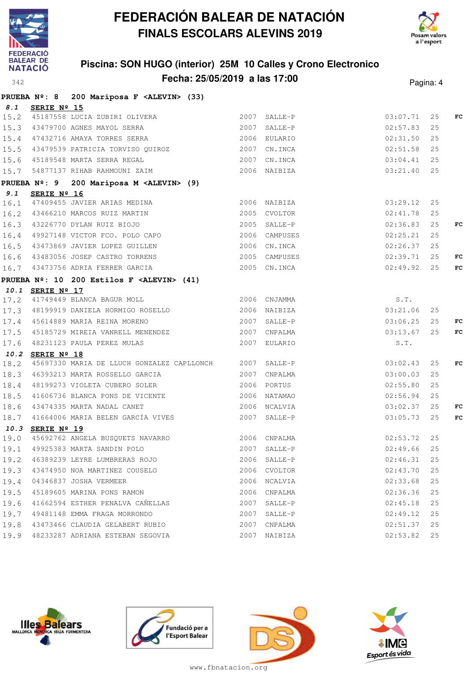



### **Piscina: SON HUGO (interior) 25M 10 Calles y Crono Electronico Fecha: 25/05/2019 a las 17:00** Pagina: 4

|      |                  | PRUEBA Nº: 8 200 Mariposa F <alevin> (33)</alevin>                                                                                                                                                  |      |              |               |    |    |
|------|------------------|-----------------------------------------------------------------------------------------------------------------------------------------------------------------------------------------------------|------|--------------|---------------|----|----|
|      | 8.1 SERIE Nº 15  |                                                                                                                                                                                                     |      |              |               |    |    |
|      |                  | 15.2 45187558 LUCIA ZUBIRI OLIVERA 2007 SALLE-P<br>15.3 43479700 AGNES MAYOL SERRA 2007 SALLE-P<br>15.4 47432716 AMAYA TORRES SERRA 2006 EULARIO                                                    |      |              | 03:07.71      | 25 | FC |
|      |                  |                                                                                                                                                                                                     |      |              | 02:57.83      | 25 |    |
|      |                  |                                                                                                                                                                                                     |      |              | 02:31.50      | 25 |    |
|      |                  |                                                                                                                                                                                                     |      |              | $02:51.58$ 25 |    |    |
|      |                  | 15.5 43479539 PATRICIA TORVISO QUIROZ 2007 CN.INCA<br>15.6 45189548 MARTA SERRA REGAL 2007 CN.INCA                                                                                                  |      |              | 03:04.41      | 25 |    |
|      |                  |                                                                                                                                                                                                     |      |              | 03:21.40      | 25 |    |
|      |                  | PRUEBA Nº: 9 200 Mariposa M <alevin> (9)</alevin>                                                                                                                                                   |      |              |               |    |    |
|      | 9.1 SERIE Nº 16  |                                                                                                                                                                                                     |      |              |               |    |    |
|      |                  |                                                                                                                                                                                                     |      |              | 03:29.12      | 25 |    |
|      |                  |                                                                                                                                                                                                     |      |              | 02:41.78      | 25 |    |
|      |                  | 16.1 47409455 JAVIER ARIAS MEDINA 2006 NAIBIZA<br>16.2 43466210 MARCOS RUIZ MARTIN 2005 CVOLTOR<br>16.3 43226770 DYLAN RUIZ BIOJO 2005 SALLE-P<br>16.4 49927148 VICTOR FCO. POLO CAPO 2006 CAMPUSES |      |              | 02:36.83      | 25 | FC |
|      |                  |                                                                                                                                                                                                     |      |              | 02:25.21      | 25 |    |
|      |                  | 16.5 43473869 JAVIER LOPEZ GUILLEN                                                                                                                                                                  |      | 2006 CN.INCA | 02:26.37      | 25 |    |
|      |                  | 16.6 43483056 JOSEP CASTRO TORRENS 2005 CAMPUSES                                                                                                                                                    |      |              | 02:39.71      | 25 | FC |
|      |                  | 16.7 43473756 ADRIA FERRER GARCIA 6 2005 CN.INCA                                                                                                                                                    |      |              | 02:49.92      | 25 | FC |
|      |                  | PRUEBA $N^{\circ}$ : 10 200 Estilos F <alevin> (41)</alevin>                                                                                                                                        |      |              |               |    |    |
|      | 10.1 SERIE Nº 17 |                                                                                                                                                                                                     |      |              |               |    |    |
|      |                  | 17.2 41749449 BLANCA BAGUR MOLL 2006 CNJAMMA<br>17.2 41749449 BLANCA BAGUR MOLL 2006 2006 CNJAMMA<br>17.3 48199919 DANIELA HORMIGO ROSELLO 2006 NAIBIZA                                             |      |              | S.T.          |    |    |
|      |                  |                                                                                                                                                                                                     |      |              | 03:21.06      | 25 |    |
|      |                  | 17.4 45614889 MARIA REINA MORENO<br>17.5 45185729 MIREIA VANRELL MENENDEZ 2007 CNPALMA                                                                                                              |      |              | 03:06.25      | 25 | FC |
|      |                  |                                                                                                                                                                                                     |      |              | 03:13.67      | 25 | FC |
|      |                  | 17.6 48231123 PAULA PEREZ MULAS 2007 EULARIO                                                                                                                                                        |      |              | S.T.          |    |    |
|      | 10.2 SERIE Nº 18 |                                                                                                                                                                                                     |      |              |               |    |    |
|      |                  | 18.2 45697330 MARIA DE LLUCH GONZALEZ CAPLLONCH 2007 SALLE-P                                                                                                                                        |      |              | 03:02.43      | 25 | FC |
|      |                  | 18.3 46393213 MARTA ROSSELLO GARCIA 62007 CNPALMA                                                                                                                                                   |      |              | 03:00.03      | 25 |    |
|      |                  | 18.4 48199273 VIOLETA CUBERO SOLER                                                                                                                                                                  |      | 2006 PORTUS  | 02:55.80      | 25 |    |
| 18.5 |                  | 41606736 BLANCA PONS DE VICENTE 2006 NATAMAO                                                                                                                                                        |      |              | 02:56.94      | 25 |    |
|      |                  | 18.6 43474335 MARTA NADAL CANET                                                                                                                                                                     |      | 2006 NCALVIA | 03:02.37      | 25 | FC |
|      |                  |                                                                                                                                                                                                     |      |              | 03:05.73      | 25 | FC |
|      | 10.3 SERIE Nº 19 |                                                                                                                                                                                                     |      |              |               |    |    |
|      |                  | 19.0 45692762 ANGELA BUSQUETS NAVARRO 2006 CNPALMA<br>19.1 49925383 MARTA SANDIN POLO 2007 SALLE-P                                                                                                  |      |              | 02:53.72      | 25 |    |
| 19.1 |                  |                                                                                                                                                                                                     |      |              | 02:49.66      | 25 |    |
| 19.2 |                  | 46389239 LEYRE LUMBRERAS ROJO                                                                                                                                                                       |      | 2006 SALLE-P | 02:46.31      | 25 |    |
|      |                  | 19.3 43474950 NOA MARTINEZ COUSELO                                                                                                                                                                  |      | 2006 CVOLTOR | 02:43.70      | 25 |    |
|      |                  | 19.4 04346837 JOSHA VERMEER                                                                                                                                                                         |      | 2006 NCALVIA | 02:33.68      | 25 |    |
|      |                  | 19.5 45189605 MARINA PONS RAMON                                                                                                                                                                     |      | 2006 CNPALMA | 02:36.36      | 25 |    |
|      |                  | 19.6 41662594 ESTHER PENALVA CAÑELLAS                                                                                                                                                               | 2007 | SALLE-P      | 02:45.18      | 25 |    |
|      |                  | 19.7 49481148 EMMA FRAGA MORRONDO                                                                                                                                                                   |      | 2007 SALLE-P | 02:49.12      | 25 |    |
|      |                  | 19.8 43473466 CLAUDIA GELABERT RUBIO                                                                                                                                                                |      | 2007 CNPALMA | 02:51.37      | 25 |    |
|      |                  | 19.9 48233287 ADRIANA ESTEBAN SEGOVIA                                                                                                                                                               |      | 2007 NAIBIZA | 02:53.82      | 25 |    |







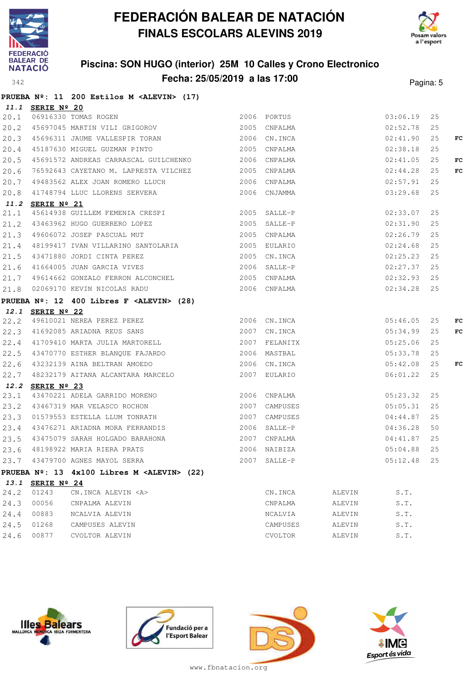



### **Piscina: SON HUGO (interior) 25M 10 Calles y Crono Electronico Fecha: 25/05/2019 a las 17:00** Pagina: 5

|      |                  | PRUEBA Nº: 11 200 Estilos M <alevin> (17)</alevin>                                                                                                                                                                      |              |          |          |    |    |
|------|------------------|-------------------------------------------------------------------------------------------------------------------------------------------------------------------------------------------------------------------------|--------------|----------|----------|----|----|
|      | 11.1 SERIE Nº 20 |                                                                                                                                                                                                                         |              |          |          |    |    |
|      |                  | 20.1 06916330 TOMAS ROGEN<br>20.2 45697045 MARTIN VILI GRIGOROV 2005 CNPALMA 2005 2005 2005                                                                                                                             |              |          |          | 25 |    |
|      |                  |                                                                                                                                                                                                                         |              |          |          | 25 |    |
|      |                  | 20.3 45696311 JAUME VALLESPIR TORAN 2006 CN.INCA 2006 CN.INCA 2006                                                                                                                                                      |              |          |          | 25 | FC |
|      |                  | 20.4 45187630 MIGUEL GUZMAN PINTO 2005 CNPALMA                                                                                                                                                                          |              | 02:38.18 |          | 25 |    |
|      |                  | 20.5 45691572 ANDREAS CARRASCAL GUILCHENKO 2006 CNPALMA                                                                                                                                                                 |              |          |          | 25 | FC |
| 20.6 |                  |                                                                                                                                                                                                                         |              |          |          | 25 | FC |
|      |                  | 20.7 49483562 ALEX JOAN ROMERO LLUCH 2006 CNPALMA                                                                                                                                                                       |              | 02:57.91 |          | 25 |    |
|      |                  | 20.8 41748794 LLUC LLORENS SERVERA 2006 CNJAMMA                                                                                                                                                                         |              |          | 03:29.68 | 25 |    |
|      | 11.2 SERIE Nº 21 |                                                                                                                                                                                                                         |              |          |          |    |    |
|      |                  | 21.1 45614938 GUILLEM FEMENIA CRESPI 2005 SALLE-P<br>21.2 43463962 HUGO GUERRERO LOPEZ 2005 SALLE-P 2005 201.2 43463962 HUGO GUERRERO LOPEZ                                                                             |              |          |          | 25 |    |
|      |                  |                                                                                                                                                                                                                         |              |          |          | 25 |    |
|      |                  | 21.3 49606072 JOSEP PASCUAL MUT 2005 CNPALMA 2005 CNPALMA                                                                                                                                                               |              |          |          | 25 |    |
|      |                  | 21.4 48199417 IVAN VILLARINO SANTOLARIA 2005 EULARIO 62:24.68<br>21.5 43471880 JORDI CINTA PEREZ 2005 CN.INCA 02:25.23<br>21.6 41664005 JUAN GARCIA VIVES 2006 SALLE-P 02:27.37                                         |              |          |          | 25 |    |
|      |                  |                                                                                                                                                                                                                         |              |          |          | 25 |    |
|      |                  |                                                                                                                                                                                                                         |              |          |          | 25 |    |
|      |                  | 21.7 49614662 GONZALO FERRON ALCONCHEL 2005 CNPALMA                                                                                                                                                                     |              | 02:32.93 |          | 25 |    |
|      |                  | 21.8 02069170 KEVIN NICOLAS RADU 2006 CNPALMA 2006 CNPALMA 02:34.28 25                                                                                                                                                  |              |          |          |    |    |
|      |                  | PRUEBA Nº: 12 400 Libres F <alevin> (28)</alevin>                                                                                                                                                                       |              |          |          |    |    |
|      | 12.1 SERIE Nº 22 |                                                                                                                                                                                                                         |              |          |          |    |    |
|      |                  | <b>12.1 <u>SERIE Nº 22</u></b><br>22.2 49610021 NEREA PEREZ PEREZ 2006 CN.INCA 05:46.05 25<br>22.3 41692085 ARIADNA REUS SANS 2007 CN.INCA 05:34.99 25<br>22.4 41709410 MARTA JULIA MARTORELL 2007 FELANITX 05:25.06 25 |              |          |          |    | FC |
|      |                  |                                                                                                                                                                                                                         |              |          |          |    | FC |
|      |                  |                                                                                                                                                                                                                         |              |          |          |    |    |
|      |                  |                                                                                                                                                                                                                         |              |          |          | 25 |    |
|      |                  | 22.6 43232139 AINA BELTRAN AMOEDO 2006 CN.INCA 2006 CN.INCA 05:42.08                                                                                                                                                    |              |          |          | 25 | FC |
|      |                  | 22.7 48232179 AITANA ALCANTARA MARCELO 2007 EULARIO                                                                                                                                                                     |              |          | 06:01.22 | 25 |    |
|      | 12.2 SERIE Nº 23 |                                                                                                                                                                                                                         |              |          |          |    |    |
|      |                  | 12.2 SERIE Nº 23<br>23.1 43470221 ADELA GARRIDO MORENO 2006 CNPALMA (1997) 2006 2006 CNPALMA                                                                                                                            |              |          |          | 25 |    |
|      |                  | 23.2 43467319 MAR VELASCO ROCHON 2007 CAMPUSES 05:05.31                                                                                                                                                                 |              |          |          | 25 |    |
|      |                  | 23.3 01579553 ESTELLA LLUM TONRATH 2007 CAMPUSES 04:44.87                                                                                                                                                               |              |          |          | 25 |    |
|      |                  |                                                                                                                                                                                                                         |              |          |          | 50 |    |
|      |                  | 23.4 43476271 ARIADNA MORA FERRANDIS<br>23.5 43475079 SARAH HOLGADO BARAHONA 2007 CNPALMA 23.6 48198922 MARIA RIERA PRATS 2006 SALLE-P 04:36.28                                                                         |              |          |          | 25 |    |
|      |                  |                                                                                                                                                                                                                         |              |          |          | 25 |    |
|      |                  | 23.7 43479700 AGNES MAYOL SERRA                                                                                                                                                                                         | 2007 SALLE-P |          | 05:12.48 | 25 |    |
|      |                  | PRUEBA Nº: 13 4x100 Libres M <alevin> (22)</alevin>                                                                                                                                                                     |              |          |          |    |    |
|      | 13.1 SERIE Nº 24 |                                                                                                                                                                                                                         |              |          |          |    |    |
| 24.2 | 01243            | CN.INCA ALEVIN <a></a>                                                                                                                                                                                                  | CN.INCA      | ALEVIN   | S.T.     |    |    |
| 24.3 | 00056            | CNPALMA ALEVIN                                                                                                                                                                                                          | CNPALMA      | ALEVIN   | S.T.     |    |    |
| 24.4 | 00883            | NCALVIA ALEVIN                                                                                                                                                                                                          | NCALVIA      | ALEVIN   | S.T.     |    |    |
| 24.5 | 01268            | CAMPUSES ALEVIN                                                                                                                                                                                                         | CAMPUSES     | ALEVIN   | S.T.     |    |    |
| 24.6 | 00877            | CVOLTOR ALEVIN                                                                                                                                                                                                          | CVOLTOR      | ALEVIN   | S.T.     |    |    |







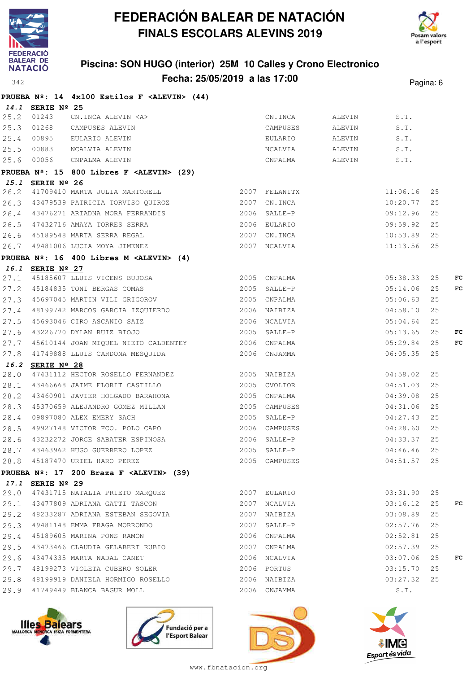



### **Piscina: SON HUGO (interior) 25M 10 Calles y Crono Electronico Fecha: 25/05/2019 a las 17:00** Pagina: 6

**PRUEBA Nº: 14 4x100 Estilos F <ALEVIN> (44)**

|      | 14.1 SERIE Nº 25 |                                                                                                                                             |               |              |          |    |    |
|------|------------------|---------------------------------------------------------------------------------------------------------------------------------------------|---------------|--------------|----------|----|----|
| 25.2 | 01243            | CN.INCA ALEVIN <a></a>                                                                                                                      |               |              | S.T.     |    |    |
| 25.3 | 01268            | CAMPUSES ALEVIN                                                                                                                             |               |              | S.T.     |    |    |
| 25.4 | 00895            | EULARIO ALEVIN                                                                                                                              |               |              | S.T.     |    |    |
| 25.5 | 00883            | NCALVIA ALEVIN                                                                                                                              |               |              | S.T.     |    |    |
|      | 25.6 00056       | X<br>CAMPUSES ALEVIN<br>CAMPUSES ALEVIN<br>EULARIO ALEVIN<br>NCALVIA ALEVIN<br>CNPALMA ALEVIN<br>ALEVIN<br>CNPALMA ALEVIN<br>CNPALMA ALEVIN |               |              | S.T.     |    |    |
|      |                  | PRUEBA Nº: 15 800 Libres F <alevin> (29)</alevin>                                                                                           |               |              |          |    |    |
|      | 15.1 SERIE Nº 26 |                                                                                                                                             |               |              |          |    |    |
| 26.2 |                  | 41709410 MARTA JULIA MARTORELL 2007 FELANITX                                                                                                |               |              | 11:06.16 | 25 |    |
|      |                  | 26.3 43479539 PATRICIA TORVISO QUIROZ                                                                                                       | 2007 CN.INCA  |              | 10:20.77 | 25 |    |
|      |                  | 26.4 43476271 ARIADNA MORA FERRANDIS 2006 SALLE-P                                                                                           |               |              | 09:12.96 | 25 |    |
| 26.5 |                  | 2006 EULARIO<br>47432716 AMAYA TORRES SERRA                                                                                                 |               |              | 09:59.92 | 25 |    |
|      |                  | 26.6 45189548 MARTA SERRA REGAL 2007 CN.INCA                                                                                                |               |              | 10:53.89 | 25 |    |
|      |                  | 26.7 49481006 LUCIA MOYA JIMENEZ                                                                                                            |               | 2007 NCALVIA | 11:13.56 | 25 |    |
|      |                  | PRUEBA $N^{\circ}$ : 16 400 Libres M <alevin> (4)</alevin>                                                                                  |               |              |          |    |    |
|      | 16.1 SERIE Nº 27 |                                                                                                                                             |               |              |          |    |    |
| 27.1 |                  | 45185607 LLUIS VICENS BUJOSA 2005 CNPALMA                                                                                                   |               |              | 05:38.33 | 25 | FC |
|      |                  |                                                                                                                                             |               |              | 05:14.06 | 25 | FC |
|      |                  | 27.2 45184835 TONI BERGAS COMAS 2005 SALLE-P<br>27.3 45697045 MARTIN VILI GRIGOROV 2005 CNPALMA                                             |               |              | 05:06.63 | 25 |    |
| 27.4 |                  | 48199742 MARCOS GARCIA IZQUIERDO 6 2006 NAIBIZA                                                                                             |               |              | 04:58.10 | 25 |    |
| 27.5 |                  | 2006 NCALVIA<br>45693046 CIRO ASCANIO SAIZ                                                                                                  |               |              | 05:04.64 | 25 |    |
| 27.6 |                  | 43226770 DYLAN RUIZ BIOJO                                                                                                                   | 2005 SALLE-P  |              | 05:13.65 | 25 | FC |
| 27.7 |                  | 45610144 JOAN MIQUEL NIETO CALDENTEY 2006 CNPALMA                                                                                           |               |              | 05:29.84 | 25 | FC |
| 27.8 |                  | 41749888 LLUIS CARDONA MESQUIDA 2006 CNJAMMA                                                                                                |               |              | 06:05.35 | 25 |    |
|      | 16.2 SERIE Nº 28 |                                                                                                                                             |               |              |          |    |    |
| 28.0 |                  | 47431112 HECTOR ROSELLO FERNANDEZ 2005 NAIBIZA                                                                                              |               |              | 04:58.02 | 25 |    |
| 28.1 |                  | 43466668 JAIME FLORIT CASTILLO                                                                                                              | 2005 CVOLTOR  |              | 04:51.03 | 25 |    |
| 28.2 |                  | 43460901 JAVIER HOLGADO BARAHONA                                                                                                            | 2005 CNPALMA  |              | 04:39.08 | 25 |    |
| 28.3 |                  | 45370659 ALEJANDRO GOMEZ MILLAN                                                                                                             | 2005 CAMPUSES |              | 04:31.06 | 25 |    |
| 28.4 |                  | 09897080 ALEX EMERY SACH 2005 SALLE-P<br>49927148 VICTOR FCO. POLO CAPO 2006 CAMPUSES                                                       |               |              | 04:27.43 | 25 |    |
| 28.5 |                  |                                                                                                                                             | 2006 CAMPUSES |              | 04:28.60 | 25 |    |
| 28.6 |                  | 43232272 JORGE SABATER ESPINOSA 2006 SALLE-P                                                                                                |               |              | 04:33.37 | 25 |    |
| 28.7 |                  | 43463962 HUGO GUERRERO LOPEZ                                                                                                                | 2005 SALLE-P  |              | 04:46.46 | 25 |    |
|      |                  | 28.8 45187470 URIEL HARO PEREZ 2005 CAMPUSES 04:51.57 25                                                                                    |               |              |          |    |    |
|      |                  | PRUEBA $N^{\circ}$ : 17 200 Braza F <alevin> (39)</alevin>                                                                                  |               |              |          |    |    |
|      | 17.1 SERIE Nº 29 |                                                                                                                                             |               |              |          |    |    |
| 29.0 |                  | 47431715 NATALIA PRIETO MARQUEZ 2007 EULARIO                                                                                                |               |              | 03:31.90 | 25 |    |
| 29.1 |                  |                                                                                                                                             |               |              | 03:16.12 | 25 | FC |
| 29.2 |                  | 48233287 ADRIANA ESTEBAN SEGOVIA                                                                                                            | 2007 NAIBIZA  |              | 03:08.89 | 25 |    |
| 29.3 |                  | 49481148 EMMA FRAGA MORRONDO                                                                                                                | 2007 SALLE-P  |              | 02:57.76 | 25 |    |
| 29.4 |                  | 45189605 MARINA PONS RAMON                                                                                                                  | 2006 CNPALMA  |              | 02:52.81 | 25 |    |
| 29.5 |                  | 43473466 CLAUDIA GELABERT RUBIO                                                                                                             | 2007 CNPALMA  |              | 02:57.39 | 25 |    |
| 29.6 |                  | 43474335 MARTA NADAL CANET                                                                                                                  | 2006 NCALVIA  |              | 03:07.06 | 25 | FC |
| 29.7 |                  | 48199273 VIOLETA CUBERO SOLER                                                                                                               | 2006 PORTUS   |              | 03:15.70 | 25 |    |
| 29.8 |                  | 48199919 DANIELA HORMIGO ROSELLO                                                                                                            | 2006 NAIBIZA  |              | 03:27.32 | 25 |    |
| 29.9 |                  | 41749449 BLANCA BAGUR MOLL                                                                                                                  | 2006 CNJAMMA  |              | S.T.     |    |    |
|      |                  |                                                                                                                                             |               |              |          |    |    |







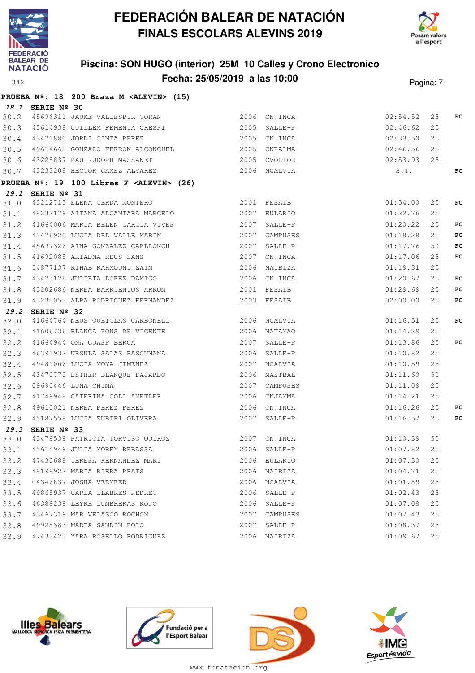



#### **Piscina: SON HUGO (interior) 25M 10 Calles y Crono Electronico Fecha: 25/05/2019 a las 10:00** Pagina: 7

|      |                  | PRUEBA Nº: 18 200 Braza M <alevin> (15)</alevin>                                               |                                                |               |    |     |
|------|------------------|------------------------------------------------------------------------------------------------|------------------------------------------------|---------------|----|-----|
|      | 18.1 SERIE Nº 30 |                                                                                                |                                                |               |    |     |
| 30.2 |                  | 45696311 JAUME VALLESPIR TORAN 2006 CN.INCA                                                    | 2006 CN.INCA 02:54.52<br>2005 SALLE-P 02:46.62 |               | 25 | FC  |
| 30.3 |                  | 45614938 GUILLEM FEMENIA CRESPI                                                                |                                                |               | 25 |     |
| 30.4 |                  | 43471880 JORDI CINTA PEREZ                                                                     | 02:33.50<br>2005 CN.INCA                       |               | 25 |     |
| 30.5 |                  | 49614662 GONZALO FERRON ALCONCHEL                                                              | 2005 CNPALMA                                   | 02:46.56      | 25 |     |
|      |                  | 30.6 43228837 PAU RUDOPH MASSANET                                                              | 02:53.93<br>2005 CVOLTOR                       |               | 25 |     |
|      |                  | 30.7 43233208 HECTOR GAMEZ ALVAREZ 2006 NCALVIA                                                |                                                | S.T.          |    | FC  |
|      |                  | PRUEBA Nº: 19 100 Libres F <alevin> (26)</alevin>                                              |                                                |               |    |     |
|      | 19.1 SERIE Nº 31 |                                                                                                |                                                |               |    |     |
| 31.0 |                  | 2001 FESAIB<br>43212715 ELENA CERDA MONTERO                                                    |                                                | 01:54.00      | 25 | FC  |
| 31.1 |                  | 48232179 AITANA ALCANTARA MARCELO                                                              | 2007 EULARIO                                   | 01:22.76      | 25 |     |
| 31.2 |                  | 41664006 MARIA BELEN GARCÍA VIVES                                                              | 2007 SALLE-P                                   | 01:20.22      | 25 | FC  |
| 31.3 |                  | 43476920 LUCIA DEL VALLE MARIN                                                                 | 2007 CAMPUSES                                  | 01:18.28      | 25 | FC  |
| 31.4 |                  | 45697326 AINA GONZALEZ CAPLLONCH                                                               | 2007 SALLE-P                                   | 01:17.76      | 50 | FC  |
| 31.5 |                  | 41692085 ARIADNA REUS SANS                                                                     | 2007 CN.INCA                                   | 01:17.06      | 25 | FC  |
| 31.6 |                  | 54877137 RIHAB RAHMOUNI ZAIM                                                                   | 2006 NAIBIZA                                   | 01:19.31      | 25 |     |
| 31.7 |                  | 43475126 JULIETA LOPEZ DAMIGO                                                                  | 2006 CN.INCA                                   | 01:20.67      | 25 | FC  |
| 31.8 |                  | 43202686 NEREA BARRIENTOS ARROM                                                                | 2001 FESAIB                                    | 01:29.69      | 25 | FC  |
| 31.9 |                  | 43233053 ALBA RODRIGUEZ FERNANDEZ                                                              | 2003 FESAIB                                    | 02:00.00      | 25 | FC  |
|      | 19.2 SERIE Nº 32 |                                                                                                |                                                |               |    |     |
| 32.0 |                  | 41664764 NEUS QUETGLAS CARBONELL 2006 NCALVIA                                                  |                                                | 01:16.51      | 25 | FC  |
| 32.1 |                  | 41606736 BLANCA PONS DE VICENTE<br>41664944 ONA GUASP BERGA<br>46391932 URSULA SALAS BASCUÑANA | 2006 NATAMAO                                   | 01:14.29      | 25 |     |
| 32.2 |                  |                                                                                                | 2007 SALLE-P                                   | 01:13.86      | 25 | FC  |
| 32.3 |                  |                                                                                                | 2006 SALLE-P                                   | 01:10.82      | 25 |     |
| 32.4 |                  | 49481006 LUCIA MOYA JIMENEZ                                                                    | 2007 NCALVIA                                   | 01:10.59      | 25 |     |
| 32.5 |                  | 43470770 ESTHER BLANQUE FAJARDO<br>09690446 LUNA CHIMA                                         | 2006 MASTBAL                                   | 01:11.60      | 50 |     |
| 32.6 |                  |                                                                                                | 2007 CAMPUSES                                  | 01:11.09      | 25 |     |
| 32.7 |                  | 41749948 CATERINA COLL AMETLER                                                                 | 2006 CNJAMMA                                   | 01:14.21      | 25 |     |
| 32.8 |                  |                                                                                                | 2006 CN.INCA                                   | 01:16.26      | 25 | FC. |
| 32.9 |                  | 49610021 NEREA PEREZ PEREZ<br>45187558 LUCIA ZUBIRI OLIVERA                                    | 2007 SALLE-P                                   | 01:16.57      | 25 | FC  |
|      | 19.3 SERIE Nº 33 |                                                                                                |                                                |               |    |     |
| 33.0 |                  | 43479539 PATRICIA TORVISO QUIROZ 60 2007 CN.INCA 61:10.39 50                                   |                                                |               |    |     |
|      |                  | 33.1 45614949 JULIA MOREY REBASSA 2006 SALLE-P                                                 | $01:07.82$ 25                                  |               |    |     |
|      |                  | 33.2 47430688 TERESA HERNANDEZ MARI                                                            | 2006 EULARIO                                   | 01:07.30 25   |    |     |
|      |                  | 33.3 48198922 MARIA RIERA PRATS                                                                | 2006 NAIBIZA                                   | 01:04.71      | 25 |     |
|      |                  | 33.4 04346837 JOSHA VERMEER                                                                    | 2006 NCALVIA                                   | 01:01.89      | 25 |     |
| 33.5 |                  | 49868937 CARLA LLABRES PEDRET                                                                  | 2006 SALLE-P                                   | 01:02.43      | 25 |     |
| 33.6 |                  | 46389239 LEYRE LUMBRERAS ROJO                                                                  | 2006 SALLE-P                                   | 01:07.08      | 25 |     |
| 33.7 |                  | 43467319 MAR VELASCO ROCHON                                                                    | 2007 CAMPUSES                                  | 01:07.43      | 25 |     |
|      |                  | 33.8 49925383 MARTA SANDIN POLO                                                                | 2007 SALLE-P                                   | $01:08.37$ 25 |    |     |
|      |                  | 33.9 47433423 YARA ROSELLO RODRIGUEZ                                                           | 2006 NAIBIZA                                   | 01:09.67      | 25 |     |







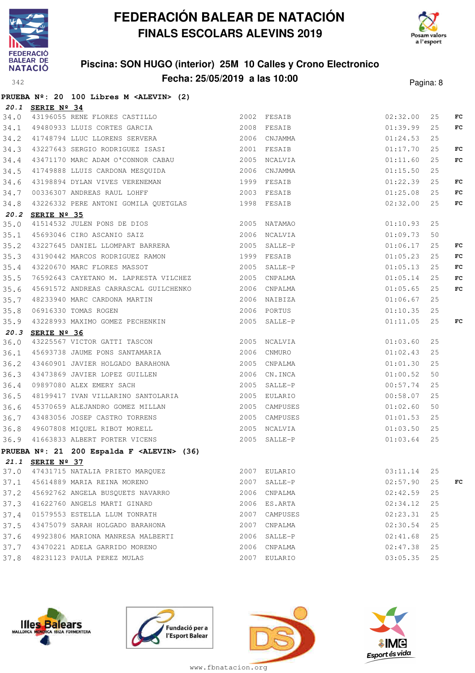

**PRUEBA Nº: 20 100 Libres M <ALEVIN> (2)**

# **FEDERACIÓN BALEAR DE NATACIÓN FINALS ESCOLARS ALEVINS 2019**



#### **Piscina: SON HUGO (interior) 25M 10 Calles y Crono Electronico Fecha: 25/05/2019 a las 10:00** Pagina: 8

|              | 20.1 SERIE Nº 34 |                                                                                                                                                                                                                                            |      |                              |                      |          |    |
|--------------|------------------|--------------------------------------------------------------------------------------------------------------------------------------------------------------------------------------------------------------------------------------------|------|------------------------------|----------------------|----------|----|
| 34.0         |                  | 3ERIE Nº 34<br>43196055 RENE FLORES CASTILLO<br>49480933 LLUIS CORTES GARCIA<br>41748794 LLUC LLORENS SERVERA<br>43227643 SERGIO RODRIGUEZ ISASI<br>43471170 MARC ADAM O'CONNOR CABAU<br>43471170 MARC ADAM O'CONNOR CABAU<br>2005 NCALVIA |      |                              | 02:32.00             | 25       | FC |
| 34.1         |                  |                                                                                                                                                                                                                                            |      |                              | 01:39.99             | 25       | FC |
| 34.2         |                  |                                                                                                                                                                                                                                            |      |                              | 01:24.53             | 25       |    |
| 34.3         |                  |                                                                                                                                                                                                                                            |      |                              | 01:17.70             | 25       | FC |
| 34.4         |                  |                                                                                                                                                                                                                                            |      |                              | 01:11.60             | 25       | FC |
| 34.5         |                  | 41749888 LLUIS CARDONA MESQUIDA 60 2006 CNJAMMA                                                                                                                                                                                            |      |                              | 01:15.50             | 25       |    |
| 34.6         |                  |                                                                                                                                                                                                                                            |      |                              | 01:22.39             | 25       | FC |
| 34.7         |                  |                                                                                                                                                                                                                                            |      |                              | 01:25.08             | 25       | FC |
| 34.8         |                  | 43226332 PERE ANTONI GOMILA QUETGLAS 1998 FESAIB                                                                                                                                                                                           |      |                              | 02:32.00             | 25       | FC |
|              | 20.2 SERIE Nº 35 |                                                                                                                                                                                                                                            |      |                              |                      |          |    |
| 35.0         |                  |                                                                                                                                                                                                                                            |      |                              | 01:10.93             | 25       |    |
| 35.1         |                  |                                                                                                                                                                                                                                            |      |                              | 01:09.73             | 50       |    |
| 35.2         |                  | <b>SERIE Nº 35</b><br>41514532 JULEN PONS DE DIOS (2005) NATAMAO<br>45693046 CIRO ASCANIO SAIZ (2006) NCALVIA<br>43227645 DANIEL LLOMPART BARRERA (2005) SALLE-P                                                                           |      |                              | 01:06.17             | 25       | FC |
| 35.3         |                  | 43190442 MARCOS RODRIGUEZ RAMON                                                                                                                                                                                                            |      | 1999 FESAIB                  | 01:05.23             | 25       | FC |
| 35.4         |                  | 43220670 MARC FLORES MASSOT 2005 SALLE-P                                                                                                                                                                                                   |      |                              | 01:05.13             | 25       | FC |
| 35.5         |                  | 76592643 CAYETANO M. LAPRESTA VILCHEZ 2005 CNPALMA                                                                                                                                                                                         |      |                              | 01:05.14             | 25       | FC |
| 35.6         |                  |                                                                                                                                                                                                                                            |      |                              | 01:05.65             | 25       | FC |
| 35.7         |                  |                                                                                                                                                                                                                                            |      |                              | 01:06.67             | 25       |    |
| 35.8         |                  | %76592643 CAYETANO M. LAPRESIA VILCHEZ (2000) CNFALMA<br>45691572 ANDREAS CARRASCAL GUILCHENKO (2006) CNPALMA<br>48233940 MARC CARDONA MARTIN (2006) NAIBIZA<br>06916330 TOMAS ROGEN (2006) PORTUS<br>43228993 MAXIMO GOMEZ PECHENKIN (200 |      |                              | 01:10.35             | 25       |    |
| 35.9         |                  | 43228993 MAXIMO GOMEZ PECHENKIN<br>-----                                                                                                                                                                                                   |      |                              | 01:11.05             | 25       | FC |
|              | 20.3 SERIE Nº 36 |                                                                                                                                                                                                                                            |      |                              |                      |          |    |
| 36.0         |                  |                                                                                                                                                                                                                                            |      |                              | 01:03.60             | 25       |    |
| 36.1         |                  | 45693738 JAUME PONS SANTAMARIA 2006 CNMURO                                                                                                                                                                                                 |      |                              | 01:02.43             | 25       |    |
| 36.2         |                  | 43460901 JAVIER HOLGADO BARAHONA                                                                                                                                                                                                           |      | 2005 CNPALMA                 | 01:01.30             | 25       |    |
| 36.3         |                  | 13100001 SINTER INDEED BIRMINGHER<br>13473869 JAVIER LOPEZ GUILLEN 2006 CN.INCA<br>19897080 ALEX EMERY SACH 2005 SALLE-P<br>18199417 IVAN VILLARINO SANTOLARIA 2005 EULARIO                                                                |      |                              | 01:00.52             | 50       |    |
| 36.4         |                  |                                                                                                                                                                                                                                            |      |                              | 00:57.74             | 25       |    |
| 36.5         |                  |                                                                                                                                                                                                                                            |      |                              | 00:58.07             | 25       |    |
|              |                  | 36.6 45370659 ALEJANDRO GOMEZ MILLAN 2005 CAMPUSES<br>36.7 43483056 JOSEP CASTRO TORRENS 2005 CAMPUSES<br>36.8 49607808 MIQUEL RIBOT MORELL 2005 NCALVIA<br>36.9 41663833 ALBERT PORTER VICENS 2005 SALLE-P                                |      |                              | 01:02.60             | 50       |    |
|              |                  |                                                                                                                                                                                                                                            |      |                              | 01:01.53             | 25       |    |
|              |                  |                                                                                                                                                                                                                                            |      |                              | 01:03.50             | 25       |    |
|              |                  |                                                                                                                                                                                                                                            |      |                              | 01:03.64             | 25       |    |
|              |                  | PRUEBA Nº: 21 200 Espalda F <alevin> (36)</alevin>                                                                                                                                                                                         |      |                              |                      |          |    |
|              |                  | 21.1 SERIE Nº 37                                                                                                                                                                                                                           |      |                              |                      |          |    |
| 37.0         |                  | 47431715 NATALIA PRIETO MARQUEZ                                                                                                                                                                                                            |      | 2007 EULARIO                 | 03:11.14<br>02:57.90 | 25<br>25 |    |
| 37.1         |                  | 45614889 MARIA REINA MORENO<br>45692762 ANGELA BUSOUETS NAVARRO                                                                                                                                                                            |      | 2007 SALLE-P<br>2006 CNPALMA | 02:42.59             |          | FC |
| 37.2<br>37.3 |                  | 41622760 ANGELS MARTI GINARD                                                                                                                                                                                                               |      | 2006 ES.ARTA                 | 02:34.12             | 25<br>25 |    |
|              |                  | 01579553 ESTELLA LLUM TONRATH                                                                                                                                                                                                              |      | 2007 CAMPUSES                |                      | 25       |    |
| 37.4<br>37.5 |                  | 43475079 SARAH HOLGADO BARAHONA                                                                                                                                                                                                            | 2007 | CNPALMA                      | 02:23.31<br>02:30.54 | 25       |    |
| 37.6         |                  | 49923806 MARIONA MANRESA MALBERTI                                                                                                                                                                                                          |      | 2006 SALLE-P                 | 02:41.68             | 25       |    |
|              |                  | 43470221 ADELA GARRIDO MORENO                                                                                                                                                                                                              |      | 2006 CNPALMA                 | 02:47.38             | 25       |    |
| 37.7         |                  | 48231123 PAULA PEREZ MULAS                                                                                                                                                                                                                 | 2007 | EULARIO                      | 03:05.35             | 25       |    |
| 37.8         |                  |                                                                                                                                                                                                                                            |      |                              |                      |          |    |







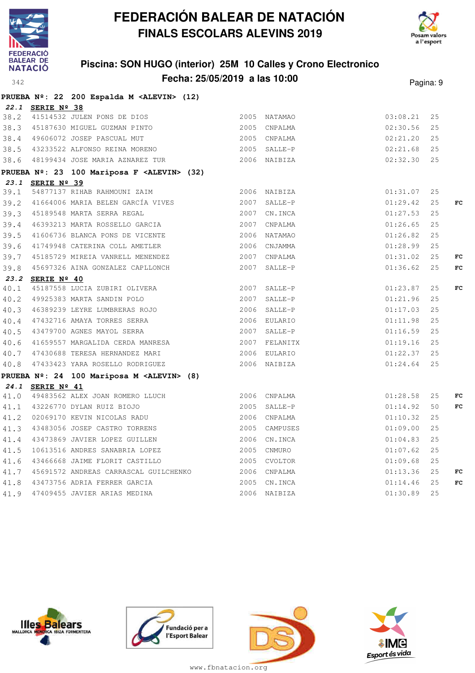



### **Piscina: SON HUGO (interior) 25M 10 Calles y Crono Electronico Fecha: 25/05/2019 a las 10:00** Pagina: 9

|                  | PRUEBA Nº: 22 200 Espalda M <alevin> (12)</alevin>                                                                                                        |              |              |          |     |             |
|------------------|-----------------------------------------------------------------------------------------------------------------------------------------------------------|--------------|--------------|----------|-----|-------------|
| 22.1 SERIE Nº 38 |                                                                                                                                                           |              |              |          |     |             |
|                  |                                                                                                                                                           |              |              | 03:08.21 | 25  |             |
|                  | 38.3 45187630 MIGUEL GUZMAN PINTO 2005 CNPALMA                                                                                                            |              |              | 02:30.56 | 25  |             |
|                  | 38.4 49606072 JOSEP PASCUAL MUT 2005 CNPALMA                                                                                                              |              |              | 02:21.20 | 25  |             |
|                  | 38.5 43233522 ALFONSO REINA MORENO 2005 SALLE-P                                                                                                           |              |              | 02:21.68 | 25  |             |
|                  | 38.6 48199434 JOSE MARIA AZNAREZ TUR 2006 NAIBIZA                                                                                                         |              |              | 02:32.30 | 25  |             |
|                  | PRUEBA Nº: 23 100 Mariposa F <alevin> (32)</alevin>                                                                                                       |              |              |          |     |             |
| 23.1 SERIE Nº 39 |                                                                                                                                                           |              |              |          |     |             |
|                  |                                                                                                                                                           |              |              | 01:31.07 | 25  |             |
|                  | 39.2 41664006 MARIA BELEN GARCÍA VIVES 2007 SALLE-P                                                                                                       |              |              | 01:29.42 | 25  | FC          |
|                  | 39.3 45189548 MARTA SERRA REGAL 2007 CN.INCA                                                                                                              |              |              | 01:27.53 | 25  |             |
|                  | 39.4 46393213 MARTA ROSSELLO GARCIA 2007 CNPALMA                                                                                                          |              |              | 01:26.65 | 25  |             |
|                  | 39.5 41606736 BLANCA PONS DE VICENTE 2006 NATAMAO                                                                                                         |              |              | 01:26.82 | 25  |             |
|                  | 39.6 41749948 CATERINA COLL AMETLER 2006 CNJAMMA                                                                                                          |              |              | 01:28.99 | 25  |             |
|                  | 39.7 45185729 MIREIA VANRELL MENENDEZ 2007 CNPALMA                                                                                                        |              |              | 01:31.02 | 25  | FC          |
|                  | 39.8 45697326 AINA GONZALEZ CAPLLONCH 2007 SALLE-P                                                                                                        |              |              | 01:36.62 | 25  | FC          |
| 23.2 SERIE Nº 40 |                                                                                                                                                           |              |              |          |     |             |
|                  | 40.1 45187558 LUCIA ZUBIRI OLIVERA 2007 SALLE-P                                                                                                           |              |              | 01:23.87 | 25  | FC          |
|                  | 40.2 49925383 MARTA SANDIN POLO                                                                                                                           | 2007 SALLE-P |              | 01:21.96 | 25  |             |
|                  | 40.3 46389239 LEYRE LUMBRERAS ROJO 2006 SALLE-P                                                                                                           |              |              | 01:17.03 | 25  |             |
|                  | 40.4 47432716 AMAYA TORRES SERRA 2006 EULARIO                                                                                                             |              |              | 01:11.98 | 25  |             |
|                  | 40.5 43479700 AGNES MAYOL SERRA 2007 SALLE-P                                                                                                              |              |              | 01:16.59 | 25  |             |
|                  | 40.6 41659557 MARGALIDA CERDA MANRESA 2007 FELANITX                                                                                                       |              |              | 01:19.16 | 25  |             |
|                  | 40.7 47430688 TERESA HERNANDEZ MARI 2006 EULARIO                                                                                                          |              |              | 01:22.37 | 25  |             |
|                  | 40.8 47433423 YARA ROSELLO RODRIGUEZ 2006 NAIBIZA                                                                                                         |              |              | 01:24.64 | 25  |             |
|                  | PRUEBA Nº: 24 100 Mariposa M <alevin> (8)</alevin>                                                                                                        |              |              |          |     |             |
| 24.1 SERIE Nº 41 |                                                                                                                                                           |              |              |          |     |             |
|                  | 41.0 49483562 ALEX JOAN ROMERO LLUCH 2006 CNPALMA                                                                                                         |              |              | 01:28.58 | 25  | FC          |
|                  |                                                                                                                                                           |              | 2005 SALLE-P | 01:14.92 | 50  | $_{\rm FC}$ |
|                  |                                                                                                                                                           |              |              | 01:10.32 | 25  |             |
|                  | 41.0 43226770 DYLAN RUIZ BIOJO<br>41.2 02069170 KEVIN NICOLAS RADU<br>41.3 43483056 JOSEP CASTRO TORRENS<br>2005 CAMPUSES<br>2006 CNPALMA<br>2006 CNPUSES |              |              | 01:09.00 | 25  |             |
|                  | 41.4 43473869 JAVIER LOPEZ GUILLEN 2006 CN.INCA                                                                                                           |              |              | 01:04.83 | 25  |             |
|                  | 41.5 10613516 ANDRES SANABRIA LOPEZ 2005 CNMURO                                                                                                           |              |              | 01:07.62 | 25  |             |
|                  | 41.6 43466668 JAIME FLORIT CASTILLO                                                                                                                       |              | 2005 CVOLTOR | 01:09.68 | 25  |             |
|                  | 41.7 45691572 ANDREAS CARRASCAL GUILCHENKO 2006 CNPALMA                                                                                                   |              |              | 01:13.36 | 25  | FC          |
|                  |                                                                                                                                                           |              |              | 01:14.46 | 25  | $_{\rm FC}$ |
|                  |                                                                                                                                                           |              |              | 01:30.89 | 2.5 |             |